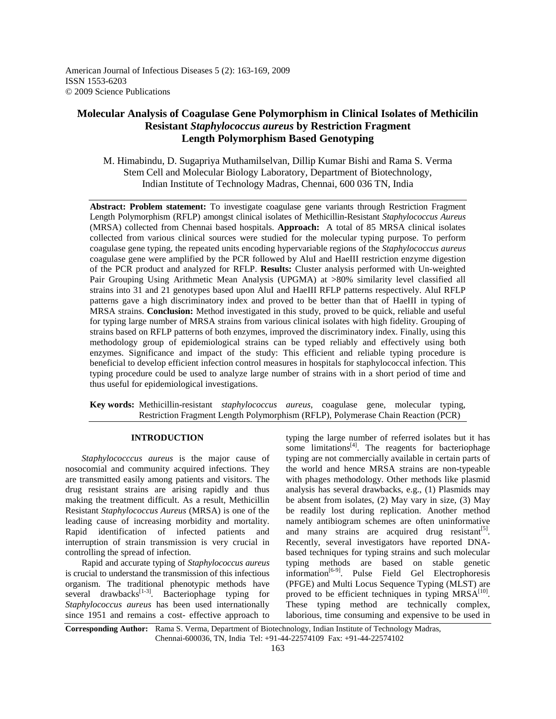American Journal of Infectious Diseases 5 (2): 163-169, 2009 ISSN 1553-6203 © 2009 Science Publications

# **Molecular Analysis of Coagulase Gene Polymorphism in Clinical Isolates of Methicilin Resistant** *Staphylococcus aureus* **by Restriction Fragment Length Polymorphism Based Genotyping**

M. Himabindu, D. Sugapriya Muthamilselvan, Dillip Kumar Bishi and Rama S. Verma Stem Cell and Molecular Biology Laboratory, Department of Biotechnology, Indian Institute of Technology Madras, Chennai, 600 036 TN, India

**Abstract: Problem statement:** To investigate coagulase gene variants through Restriction Fragment Length Polymorphism (RFLP) amongst clinical isolates of Methicillin-Resistant *Staphylococcus Aureus* (MRSA) collected from Chennai based hospitals. **Approach:** A total of 85 MRSA clinical isolates collected from various clinical sources were studied for the molecular typing purpose. To perform coagulase gene typing, the repeated units encoding hypervariable regions of the *Staphylococcus aureus* coagulase gene were amplified by the PCR followed by AluI and HaeIII restriction enzyme digestion of the PCR product and analyzed for RFLP. **Results:** Cluster analysis performed with Un-weighted Pair Grouping Using Arithmetic Mean Analysis (UPGMA) at >80% similarity level classified all strains into 31 and 21 genotypes based upon AluI and HaeIII RFLP patterns respectively. AluI RFLP patterns gave a high discriminatory index and proved to be better than that of HaeIII in typing of MRSA strains. **Conclusion:** Method investigated in this study, proved to be quick, reliable and useful for typing large number of MRSA strains from various clinical isolates with high fidelity. Grouping of strains based on RFLP patterns of both enzymes, improved the discriminatory index. Finally, using this methodology group of epidemiological strains can be typed reliably and effectively using both enzymes. Significance and impact of the study: This efficient and reliable typing procedure is beneficial to develop efficient infection control measures in hospitals for staphylococcal infection. This typing procedure could be used to analyze large number of strains with in a short period of time and thus useful for epidemiological investigations.

**Key words:** Methicillin-resistant *staphylococcus aureus*, coagulase gene, molecular typing, Restriction Fragment Length Polymorphism (RFLP), Polymerase Chain Reaction (PCR)

### **INTRODUCTION**

 *Staphylococccus aureus* is the major cause of nosocomial and community acquired infections. They are transmitted easily among patients and visitors. The drug resistant strains are arising rapidly and thus making the treatment difficult. As a result, Methicillin Resistant *Staphylococcus Aureus* (MRSA) is one of the leading cause of increasing morbidity and mortality. Rapid identification of infected patients and interruption of strain transmission is very crucial in controlling the spread of infection.

 Rapid and accurate typing of *Staphylococcus aureus*  is crucial to understand the transmission of this infectious organism. The traditional phenotypic methods have several drawbacks $^{[1-3]}$ . Bacteriophage typing for *Staphylococcus aureus* has been used internationally since 1951 and remains a cost- effective approach to

typing the large number of referred isolates but it has some limitations<sup>[4]</sup>. The reagents for bacteriophage typing are not commercially available in certain parts of the world and hence MRSA strains are non-typeable with phages methodology. Other methods like plasmid analysis has several drawbacks, e.g., (1) Plasmids may be absent from isolates, (2) May vary in size, (3) May be readily lost during replication. Another method namely antibiogram schemes are often uninformative and many strains are acquired drug resistant $[5]$ . Recently, several investigators have reported DNAbased techniques for typing strains and such molecular typing methods are based on stable genetic information<sup>[6-9]</sup>. Pulse Field Gel Electrophoresis (PFGE) and Multi Locus Sequence Typing (MLST) are proved to be efficient techniques in typing  $MRSA^{[10]}$ . These typing method are technically complex, laborious, time consuming and expensive to be used in

**Corresponding Author:** Rama S. Verma, Department of Biotechnology, Indian Institute of Technology Madras, Chennai-600036, TN, India Tel: +91-44-22574109 Fax: +91-44-22574102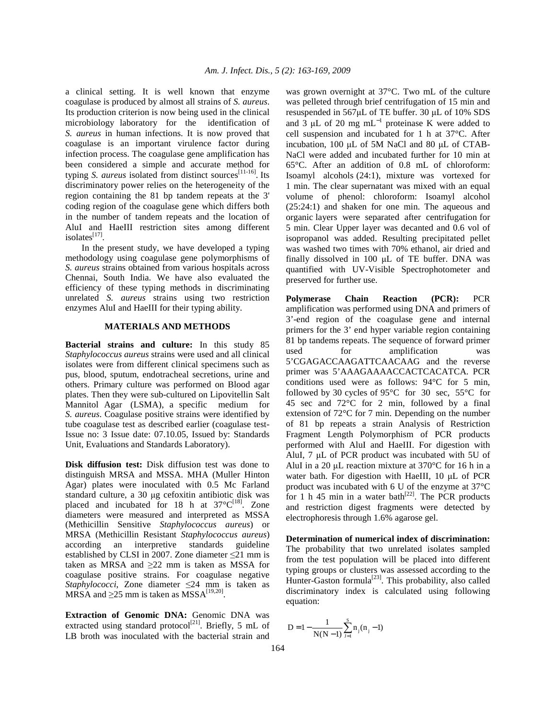a clinical setting. It is well known that enzyme coagulase is produced by almost all strains of *S. aureus*. Its production criterion is now being used in the clinical microbiology laboratory for the identification of *S. aureus* in human infections. It is now proved that coagulase is an important virulence factor during infection process. The coagulase gene amplification has been considered a simple and accurate method for typing *S. aureus* isolated from distinct sources<sup>[11-16]</sup>. Its discriminatory power relies on the heterogeneity of the region containing the 81 bp tandem repeats at the 3' coding region of the coagulase gene which differs both in the number of tandem repeats and the location of AluI and HaeΙΙΙ restriction sites among different isolates<sup>[17]</sup>.

 In the present study, we have developed a typing methodology using coagulase gene polymorphisms of *S. aureus* strains obtained from various hospitals across Chennai, South India. We have also evaluated the efficiency of these typing methods in discriminating unrelated *S. aureus* strains using two restriction enzymes AluI and HaeIII for their typing ability.

#### **MATERIALS AND METHODS**

**Bacterial strains and culture:** In this study 85 *Staphylococcus aureus* strains were used and all clinical isolates were from different clinical specimens such as pus, blood, sputum, endotracheal secretions, urine and others. Primary culture was performed on Blood agar plates. Then they were sub-cultured on Lipovitellin Salt Mannitol Agar (LSMA), a specific medium for *S. aureus*. Coagulase positive strains were identified by tube coagulase test as described earlier (coagulase test-Issue no: 3 Issue date: 07.10.05, Issued by: Standards Unit, Evaluations and Standards Laboratory).

**Disk diffusion test:** Disk diffusion test was done to distinguish MRSA and MSSA. MHA (Muller Hinton Agar) plates were inoculated with 0.5 Mc Farland standard culture, a 30 µg cefoxitin antibiotic disk was placed and incubated for 18 h at  $37^{\circ}C^{[18]}$ . Zone diameters were measured and interpreted as MSSA (Methicillin Sensitive *Staphylococcus aureus*) or MRSA (Methicillin Resistant *Staphylococcus aureus*) according an interpretive standards guideline established by CLSI in 2007. Zone diameter  $\leq$ 21 mm is taken as MRSA and  $\geq 22$  mm is taken as MSSA for coagulase positive strains. For coagulase negative *Staphylococci*, Zone diameter ≤24 mm is taken as MRSA and  $\geq$ 25 mm is taken as MSSA<sup>[19,20]</sup>.

**Extraction of Genomic DNA:** Genomic DNA was extracted using standard protocol<sup>[21]</sup>. Briefly, 5 mL of LB broth was inoculated with the bacterial strain and

was grown overnight at 37°C. Two mL of the culture was pelleted through brief centrifugation of 15 min and resuspended in 567µL of TE buffer. 30 µL of 10% SDS and 3  $\mu$ L of 20 mg mL<sup>-1</sup> proteinase K were added to cell suspension and incubated for 1 h at 37°C. After incubation, 100 µL of 5M NaCl and 80 µL of CTAB-NaCl were added and incubated further for 10 min at 65°C. After an addition of 0.8 mL of chloroform: Isoamyl alcohols (24:1), mixture was vortexed for 1 min. The clear supernatant was mixed with an equal volume of phenol: chloroform: Isoamyl alcohol (25:24:1) and shaken for one min. The aqueous and organic layers were separated after centrifugation for 5 min. Clear Upper layer was decanted and 0.6 vol of isopropanol was added. Resulting precipitated pellet was washed two times with 70% ethanol, air dried and finally dissolved in 100 µL of TE buffer. DNA was quantified with UV-Visible Spectrophotometer and preserved for further use.

**Polymerase Chain Reaction (PCR):** PCR amplification was performed using DNA and primers of 3'-end region of the coagulase gene and internal primers for the 3' end hyper variable region containing 81 bp tandems repeats. The sequence of forward primer used for amplification was 5'CGAGACCAAGATTCAACAAG and the reverse primer was 5'AAAGAAAACCACTCACATCA. PCR conditions used were as follows: 94°C for 5 min, followed by 30 cycles of 95°C for 30 sec, 55°C for 45 sec and 72°C for 2 min, followed by a final extension of 72°C for 7 min. Depending on the number of 81 bp repeats a strain Analysis of Restriction Fragment Length Polymorphism of PCR products performed with AluI and HaeIII. For digestion with AluI, 7 µL of PCR product was incubated with 5U of AluI in a 20 µL reaction mixture at 370°C for 16 h in a water bath. For digestion with HaeIII, 10 µL of PCR product was incubated with 6 U of the enzyme at 37°C for 1 h 45 min in a water bath $^{[22]}$ . The PCR products and restriction digest fragments were detected by electrophoresis through 1.6% agarose gel.

**Determination of numerical index of discrimination:** The probability that two unrelated isolates sampled from the test population will be placed into different typing groups or clusters was assessed according to the Hunter-Gaston formula $^{[23]}$ . This probability, also called discriminatory index is calculated using following equation:

$$
D = 1 - \frac{1}{N(N-1)} \sum_{j=1}^{S} n_j (n_j - 1)
$$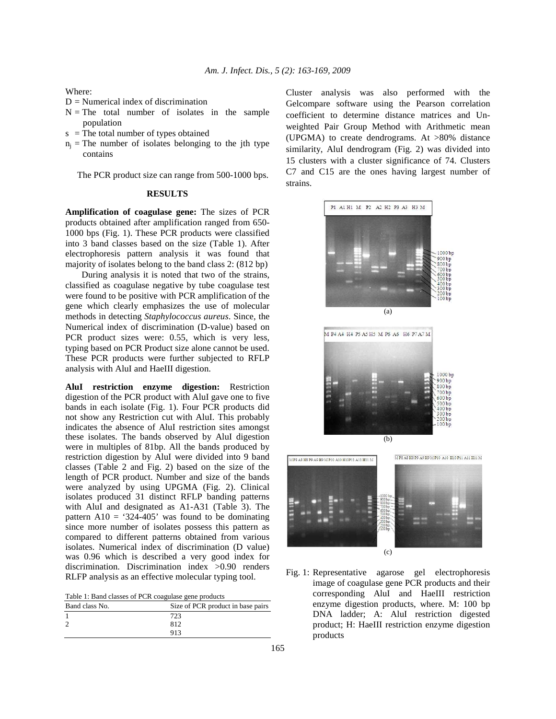Where:

- $D =$  Numerical index of discrimination
- $N =$ The total number of isolates in the sample population
- $s =$ The total number of types obtained
- $n_j$  = The number of isolates belonging to the jth type contains

The PCR product size can range from 500-1000 bps.

#### **RESULTS**

**Amplification of coagulase gene:** The sizes of PCR products obtained after amplification ranged from 650- 1000 bps (Fig. 1). These PCR products were classified into 3 band classes based on the size (Table 1). After electrophoresis pattern analysis it was found that majority of isolates belong to the band class 2: (812 bp)

 During analysis it is noted that two of the strains, classified as coagulase negative by tube coagulase test were found to be positive with PCR amplification of the gene which clearly emphasizes the use of molecular methods in detecting *Staphylococcus aureus*. Since, the Numerical index of discrimination (D-value) based on PCR product sizes were: 0.55, which is very less, typing based on PCR Product size alone cannot be used. These PCR products were further subjected to RFLP analysis with AluI and HaeIII digestion.

**AluI restriction enzyme digestion:** Restriction digestion of the PCR product with AluI gave one to five bands in each isolate (Fig. 1). Four PCR products did not show any Restriction cut with AluI. This probably indicates the absence of AluI restriction sites amongst these isolates. The bands observed by AluI digestion were in multiples of 81bp. All the bands produced by restriction digestion by AluI were divided into 9 band classes (Table 2 and Fig. 2) based on the size of the length of PCR product. Number and size of the bands were analyzed by using UPGMA (Fig. 2). Clinical isolates produced 31 distinct RFLP banding patterns with AluI and designated as A1-A31 (Table 3). The pattern  $A10 = 324-405$ ' was found to be dominating since more number of isolates possess this pattern as compared to different patterns obtained from various isolates. Numerical index of discrimination (D value) was 0.96 which is described a very good index for discrimination. Discrimination index >0.90 renders RLFP analysis as an effective molecular typing tool.

Table 1: Band classes of PCR coagulase gene products

| Band class No. | Size of PCR product in base pairs |
|----------------|-----------------------------------|
|                | 723                               |
|                | 812                               |
|                | 913                               |

Cluster analysis was also performed with the Gelcompare software using the Pearson correlation coefficient to determine distance matrices and Unweighted Pair Group Method with Arithmetic mean (UPGMA) to create dendrograms. At >80% distance similarity, AluI dendrogram (Fig. 2) was divided into 15 clusters with a cluster significance of 74. Clusters C7 and C15 are the ones having largest number of strains.





Fig. 1: Representative agarose gel electrophoresis image of coagulase gene PCR products and their corresponding AluI and HaeIII restriction enzyme digestion products, where. M: 100 bp DNA ladder; A: AluI restriction digested product; H: HaeIII restriction enzyme digestion products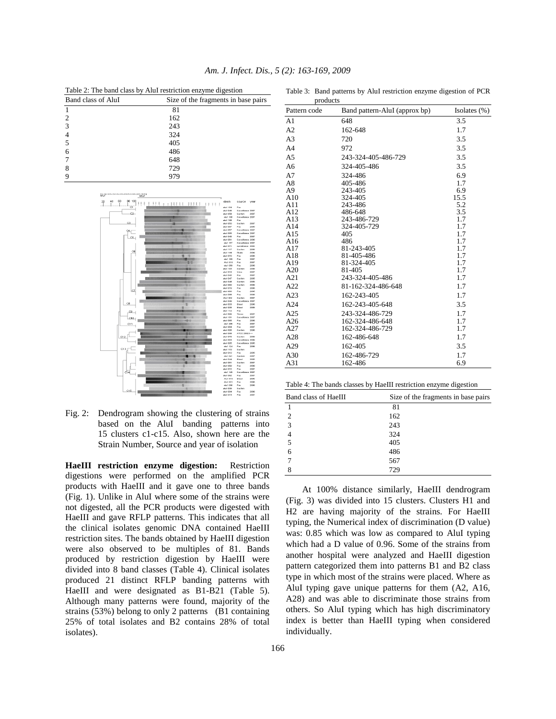| Table 2: The band class by AluI restriction enzyme digestion |                                     |  |  |
|--------------------------------------------------------------|-------------------------------------|--|--|
| Band class of AluI                                           | Size of the fragments in base pairs |  |  |
|                                                              | 81                                  |  |  |
|                                                              | 162                                 |  |  |
| $\mathcal{R}$                                                | 243                                 |  |  |
|                                                              | 324                                 |  |  |
|                                                              | 405                                 |  |  |
| 6                                                            | 486                                 |  |  |
|                                                              | 648                                 |  |  |
|                                                              | 729                                 |  |  |
|                                                              | 979                                 |  |  |



Fig. 2: Dendrogram showing the clustering of strains based on the AluI banding patterns into 15 clusters c1-c15. Also, shown here are the Strain Number, Source and year of isolation

**HaeIII restriction enzyme digestion:** Restriction digestions were performed on the amplified PCR products with HaeIII and it gave one to three bands (Fig. 1). Unlike in AluI where some of the strains were not digested, all the PCR products were digested with HaeIII and gave RFLP patterns. This indicates that all the clinical isolates genomic DNA contained HaeIII restriction sites. The bands obtained by HaeIII digestion were also observed to be multiples of 81. Bands produced by restriction digestion by HaeIII were divided into 8 band classes (Table 4). Clinical isolates produced 21 distinct RFLP banding patterns with HaeIII and were designated as B1-B21 (Table 5). Although many patterns were found, majority of the strains (53%) belong to only 2 patterns (B1 containing 25% of total isolates and B2 contains 28% of total isolates).

| products       |                               |                 |
|----------------|-------------------------------|-----------------|
| Pattern code   | Band pattern-AluI (approx bp) | Isolates $(\%)$ |
| A <sub>1</sub> | 648                           | 3.5             |
| A2             | 162-648                       | 1.7             |
| A3             | 720                           | 3.5             |
| A4             | 972                           | 3.5             |
| A5             | 243-324-405-486-729           | 3.5             |
| A6             | 324-405-486                   | 3.5             |
| A7             | 324-486                       | 6.9             |
| A8             | 405-486                       | 1.7             |
| A9             | 243-405                       | 6.9             |
| A10            | 324-405                       | 15.5            |
| A11            | 243-486                       | 5.2             |
| A12            | 486-648                       | 3.5             |
| A13            | 243-486-729                   | 1.7             |
| A14            | 324-405-729                   | 1.7             |
| A15            | 405                           | 1.7             |
| A16            | 486                           | 1.7             |
| A17            | 81-243-405                    | 1.7             |
| A18            | 81-405-486                    | 1.7             |
| A19            | 81-324-405                    | 1.7             |
| A20            | 81-405                        | 1.7             |
| A21            | 243-324-405-486               | 1.7             |
| A22            | 81-162-324-486-648            | 1.7             |
| A23            | 162-243-405                   | 1.7             |
| A24            | 162-243-405-648               | 3.5             |
| A25            | 243-324-486-729               | 1.7             |
| A26            | 162-324-486-648               | 1.7             |
| A27            | 162-324-486-729               | 1.7             |
| A28            | 162-486-648                   | 1.7             |
| A29            | 162-405                       | 3.5             |
| A30            | 162-486-729                   | 1.7             |
| A31            | 162-486                       | 6.9             |
|                |                               |                 |

Table 3: Band patterns by AluI restriction enzyme digestion of PCR

| Table 4: The bands classes by HaeIII restriction enzyme digestion |  |  |
|-------------------------------------------------------------------|--|--|
|-------------------------------------------------------------------|--|--|

| Band class of HaeIII        | Size of the fragments in base pairs |
|-----------------------------|-------------------------------------|
|                             | 81                                  |
| $\mathcal{D}_{\mathcal{L}}$ | 162                                 |
| 3                           | 243                                 |
|                             | 324                                 |
| 5                           | 405                                 |
| 6                           | 486                                 |
|                             | 567                                 |
|                             | 729                                 |

 At 100% distance similarly, HaeIII dendrogram (Fig. 3) was divided into 15 clusters. Clusters H1 and H2 are having majority of the strains. For HaeIII typing, the Numerical index of discrimination (D value) was: 0.85 which was low as compared to AluI typing which had a D value of 0.96. Some of the strains from another hospital were analyzed and HaeIII digestion pattern categorized them into patterns B1 and B2 class type in which most of the strains were placed. Where as AluI typing gave unique patterns for them (A2, A16, A28) and was able to discriminate those strains from others. So AluI typing which has high discriminatory index is better than HaeIII typing when considered individually.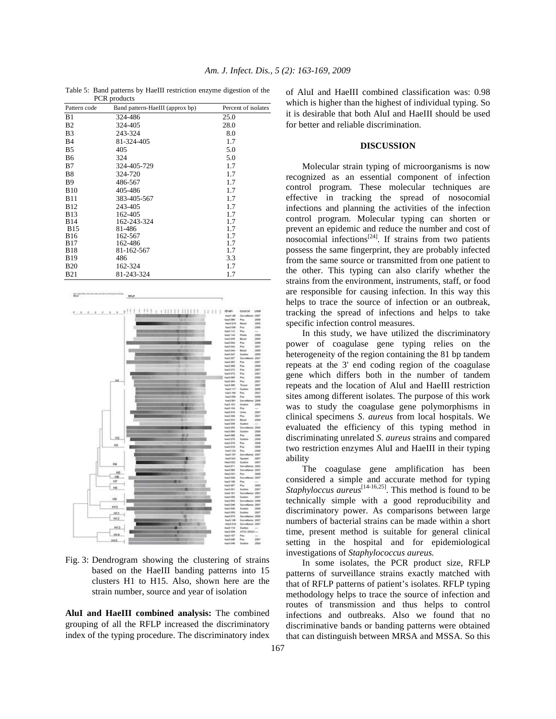Table 5: Band patterns by HaeIII restriction enzyme digestion of the PCR products

| Pattern code   | Band pattern-HaeIII (approx bp) | Percent of isolates |
|----------------|---------------------------------|---------------------|
| B1             | 324-486                         | 25.0                |
| B <sub>2</sub> | 324-405                         | 28.0                |
| B <sub>3</sub> | 243-324                         | 8.0                 |
| <b>B4</b>      | 81-324-405                      | 1.7                 |
| B <sub>5</sub> | 405                             | 5.0                 |
| <b>B6</b>      | 324                             | 5.0                 |
| B7             | 324-405-729                     | 1.7                 |
| B <sub>8</sub> | 324-720                         | 1.7                 |
| <b>B</b> 9     | 486-567                         | 1.7                 |
| <b>B</b> 10    | 405-486                         | 1.7                 |
| <b>B11</b>     | 383-405-567                     | 1.7                 |
| <b>B12</b>     | 243-405                         | 1.7                 |
| <b>B13</b>     | 162-405                         | 1.7                 |
| <b>B14</b>     | 162-243-324                     | 1.7                 |
| <b>B15</b>     | 81-486                          | 1.7                 |
| <b>B16</b>     | 162-567                         | 1.7                 |
| <b>B17</b>     | 162-486                         | 1.7                 |
| <b>B18</b>     | 81-162-567                      | 1.7                 |
| <b>B19</b>     | 486                             | 3.3                 |
| <b>B20</b>     | 162-324                         | 1.7                 |
| <b>B21</b>     | 81-243-324                      | 1.7                 |



Fig. 3: Dendrogram showing the clustering of strains based on the HaeIII banding patterns into 15 clusters H1 to H15. Also, shown here are the strain number, source and year of isolation

**AluI and HaeIII combined analysis:** The combined grouping of all the RFLP increased the discriminatory index of the typing procedure. The discriminatory index of AluI and HaeIII combined classification was: 0.98 which is higher than the highest of individual typing. So it is desirable that both AluI and HaeIII should be used for better and reliable discrimination.

# **DISCUSSION**

 Molecular strain typing of microorganisms is now recognized as an essential component of infection control program. These molecular techniques are effective in tracking the spread of nosocomial infections and planning the activities of the infection control program. Molecular typing can shorten or prevent an epidemic and reduce the number and cost of nosocomial infections $[24]$ . If strains from two patients possess the same fingerprint, they are probably infected from the same source or transmitted from one patient to the other. This typing can also clarify whether the strains from the environment, instruments, staff, or food are responsible for causing infection. In this way this helps to trace the source of infection or an outbreak, tracking the spread of infections and helps to take specific infection control measures.

 In this study, we have utilized the discriminatory power of coagulase gene typing relies on the heterogeneity of the region containing the 81 bp tandem repeats at the 3' end coding region of the coagulase gene which differs both in the number of tandem repeats and the location of AluI and HaeΙΙΙ restriction sites among different isolates. The purpose of this work was to study the coagulase gene polymorphisms in clinical specimens *S*. *aureus* from local hospitals. We evaluated the efficiency of this typing method in discriminating unrelated *S*. *aureus* strains and compared two restriction enzymes AluI and HaeIII in their typing ability

 The coagulase gene amplification has been considered a simple and accurate method for typing *Staphyloccus aureus*[14-16,25]. This method is found to be technically simple with a good reproducibility and discriminatory power. As comparisons between large numbers of bacterial strains can be made within a short time, present method is suitable for general clinical setting in the hospital and for epidemiological investigations of *Staphylococcus aureus.*

 In some isolates, the PCR product size, RFLP patterns of surveillance strains exactly matched with that of RFLP patterns of patient's isolates. RFLP typing methodology helps to trace the source of infection and routes of transmission and thus helps to control infections and outbreaks. Also we found that no discriminative bands or banding patterns were obtained that can distinguish between MRSA and MSSA. So this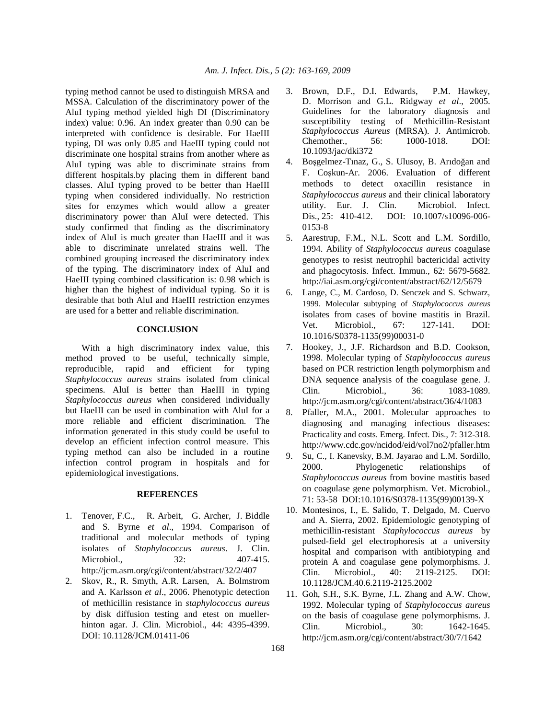typing method cannot be used to distinguish MRSA and MSSA. Calculation of the discriminatory power of the AluI typing method yielded high DI (Discriminatory index) value: 0.96. An index greater than 0.90 can be interpreted with confidence is desirable. For HaeIII typing, DI was only 0.85 and HaeIII typing could not discriminate one hospital strains from another where as AluI typing was able to discriminate strains from different hospitals.by placing them in different band classes. AluI typing proved to be better than HaeIII typing when considered individually. No restriction sites for enzymes which would allow a greater discriminatory power than AluI were detected. This study confirmed that finding as the discriminatory index of AluI is much greater than HaeIII and it was able to discriminate unrelated strains well. The combined grouping increased the discriminatory index of the typing. The discriminatory index of AluI and HaeIII typing combined classification is: 0.98 which is higher than the highest of individual typing. So it is desirable that both AluI and HaeIII restriction enzymes are used for a better and reliable discrimination.

# **CONCLUSION**

With a high discriminatory index value, this method proved to be useful, technically simple, reproducible, rapid and efficient for typing *Staphylococcus aureus* strains isolated from clinical specimens. AluI is better than HaeIII in typing *Staphylococcus aureus* when considered individually but HaeIII can be used in combination with AluI for a more reliable and efficient discrimination. The information generated in this study could be useful to develop an efficient infection control measure. This typing method can also be included in a routine infection control program in hospitals and for epidemiological investigations.

# **REFERENCES**

- 1. Tenover, F.C., R. Arbeit, G. Archer, J. Biddle and S. Byrne *et al*., 1994. Comparison of traditional and molecular methods of typing isolates of *Staphylococcus aureus*. J. Clin. Microbiol.. 32: 407-415. http://jcm.asm.org/cgi/content/abstract/32/2/407
- 2. Skov, R., R. Smyth, A.R. Larsen, A. Bolmstrom and A. Karlsson *et al*., 2006. Phenotypic detection of methicillin resistance in *staphylococcus aureus*  by disk diffusion testing and etest on muellerhinton agar. J. Clin. Microbiol., 44: 4395-4399. DOI: 10.1128/JCM.01411-06
- 3. Brown, D.F., D.I. Edwards, P.M. Hawkey, D. Morrison and G.L. Ridgway *et al*., 2005. Guidelines for the laboratory diagnosis and susceptibility testing of Methicillin-Resistant *Staphylococcus Aureus* (MRSA). J. Antimicrob. Chemother., 56: 1000-1018. DOI: 10.1093/jac/dki372
- 4. Boşgelmez-Tınaz, G., S. Ulusoy, B. Arıdoğan and F. Coşkun-Ar. 2006. Evaluation of different methods to detect oxacillin resistance in *Staphylococcus aureus* and their clinical laboratory utility. Eur. J. Clin. Microbiol. Infect. Dis., 25: 410-412. DOI: 10.1007/s10096-006- 0153-8
- 5. Aarestrup, F.M., N.L. Scott and L.M. Sordillo, 1994. Ability of *Staphylococcus aureus* coagulase genotypes to resist neutrophil bactericidal activity and phagocytosis. Infect. Immun., 62: 5679-5682. http://iai.asm.org/cgi/content/abstract/62/12/5679
- 6. Lange, C., M. Cardoso, D. Senczek and S. Schwarz, 1999. Molecular subtyping of *Staphylococcus aureus* isolates from cases of bovine mastitis in Brazil. Vet. Microbiol., 67: 127-141. DOI: 10.1016/S0378-1135(99)00031-0
- 7. Hookey, J., J.F. Richardson and B.D. Cookson, 1998. Molecular typing of *Staphylococcus aureus* based on PCR restriction length polymorphism and DNA sequence analysis of the coagulase gene. J. Clin. Microbiol., 36: 1083-1089. http://jcm.asm.org/cgi/content/abstract/36/4/1083
- 8. Pfaller, M.A., 2001. Molecular approaches to diagnosing and managing infectious diseases: Practicality and costs. Emerg. Infect. Dis., 7: 312-318. http://www.cdc.gov/ncidod/eid/vol7no2/pfaller.htm
- 9. Su, C., I. Kanevsky, B.M. Jayarao and L.M. Sordillo, 2000. Phylogenetic relationships of *Staphylococcus aureus* from bovine mastitis based on coagulase gene polymorphism. Vet. Microbiol., 71: 53-58 DOI:10.1016/S0378-1135(99)00139-X
- 10. Montesinos, I., E. Salido, T. Delgado, M. Cuervo and A. Sierra, 2002. Epidemiologic genotyping of methicillin-resistant *Staphylococcus aureus* by pulsed-field gel electrophoresis at a university hospital and comparison with antibiotyping and protein A and coagulase gene polymorphisms. J. Clin. Microbiol., 40: 2119-2125. DOI: 10.1128/JCM.40.6.2119-2125.2002
- 11. Goh, S.H., S.K. Byrne, J.L. Zhang and A.W. Chow, 1992. Molecular typing of *Staphylococcus aureus* on the basis of coagulase gene polymorphisms. J. Clin. Microbiol., 30: 1642-1645. http://jcm.asm.org/cgi/content/abstract/30/7/1642